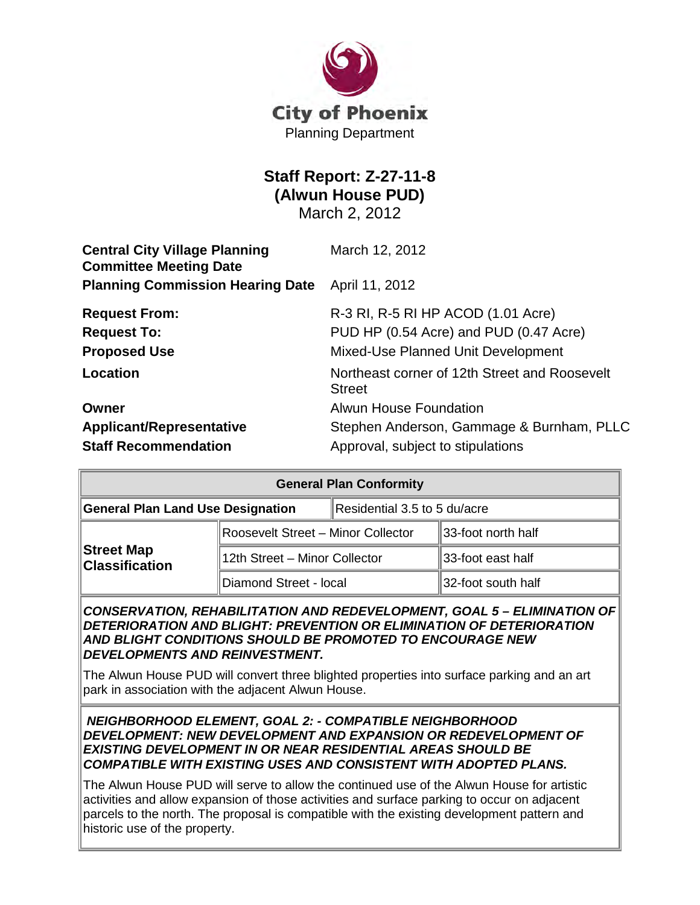

# **Staff Report: Z-27-11-8 (Alwun House PUD)** March 2, 2012

| <b>Central City Village Planning</b><br><b>Committee Meeting Date</b> | March 12, 2012                                                                                                     |  |
|-----------------------------------------------------------------------|--------------------------------------------------------------------------------------------------------------------|--|
| <b>Planning Commission Hearing Date</b>                               | April 11, 2012                                                                                                     |  |
| <b>Request From:</b><br><b>Request To:</b><br><b>Proposed Use</b>     | R-3 RI, R-5 RI HP ACOD (1.01 Acre)<br>PUD HP (0.54 Acre) and PUD (0.47 Acre)<br>Mixed-Use Planned Unit Development |  |
| Location                                                              | Northeast corner of 12th Street and Roosevelt<br><b>Street</b>                                                     |  |
| Owner                                                                 | <b>Alwun House Foundation</b>                                                                                      |  |
| <b>Applicant/Representative</b>                                       | Stephen Anderson, Gammage & Burnham, PLLC                                                                          |  |
| <b>Staff Recommendation</b>                                           | Approval, subject to stipulations                                                                                  |  |

| <b>General Plan Conformity</b>      |                                    |                              |                     |  |
|-------------------------------------|------------------------------------|------------------------------|---------------------|--|
| General Plan Land Use Designation   |                                    | Residential 3.5 to 5 du/acre |                     |  |
| Street Map<br><b>Classification</b> | Roosevelt Street - Minor Collector |                              | ∥33-foot north half |  |
|                                     | 12th Street - Minor Collector      |                              | ∥33-foot east half  |  |
|                                     | Diamond Street - local             |                              | ∥32-foot south half |  |

#### *CONSERVATION, REHABILITATION AND REDEVELOPMENT, GOAL 5 – ELIMINATION OF DETERIORATION AND BLIGHT: PREVENTION OR ELIMINATION OF DETERIORATION AND BLIGHT CONDITIONS SHOULD BE PROMOTED TO ENCOURAGE NEW DEVELOPMENTS AND REINVESTMENT.*

The Alwun House PUD will convert three blighted properties into surface parking and an art park in association with the adjacent Alwun House.

*NEIGHBORHOOD ELEMENT, GOAL 2: - COMPATIBLE NEIGHBORHOOD DEVELOPMENT: NEW DEVELOPMENT AND EXPANSION OR REDEVELOPMENT OF EXISTING DEVELOPMENT IN OR NEAR RESIDENTIAL AREAS SHOULD BE COMPATIBLE WITH EXISTING USES AND CONSISTENT WITH ADOPTED PLANS.*

The Alwun House PUD will serve to allow the continued use of the Alwun House for artistic activities and allow expansion of those activities and surface parking to occur on adjacent parcels to the north. The proposal is compatible with the existing development pattern and historic use of the property.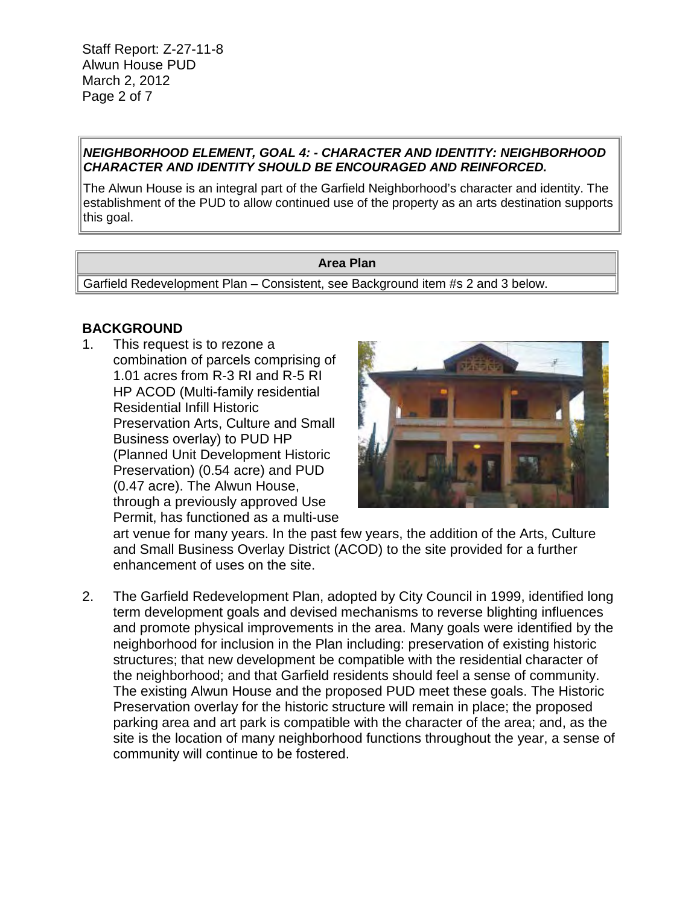#### *NEIGHBORHOOD ELEMENT, GOAL 4: - CHARACTER AND IDENTITY: NEIGHBORHOOD CHARACTER AND IDENTITY SHOULD BE ENCOURAGED AND REINFORCED.*

The Alwun House is an integral part of the Garfield Neighborhood's character and identity. The establishment of the PUD to allow continued use of the property as an arts destination supports this goal.

#### **Area Plan**

Garfield Redevelopment Plan – Consistent, see Background item #s 2 and 3 below.

#### **BACKGROUND**

1. This request is to rezone a combination of parcels comprising of 1.01 acres from R-3 RI and R-5 RI HP ACOD (Multi-family residential Residential Infill Historic Preservation Arts, Culture and Small Business overlay) to PUD HP (Planned Unit Development Historic Preservation) (0.54 acre) and PUD (0.47 acre). The Alwun House, through a previously approved Use Permit, has functioned as a multi-use



art venue for many years. In the past few years, the addition of the Arts, Culture and Small Business Overlay District (ACOD) to the site provided for a further enhancement of uses on the site.

2. The Garfield Redevelopment Plan, adopted by City Council in 1999, identified long term development goals and devised mechanisms to reverse blighting influences and promote physical improvements in the area. Many goals were identified by the neighborhood for inclusion in the Plan including: preservation of existing historic structures; that new development be compatible with the residential character of the neighborhood; and that Garfield residents should feel a sense of community. The existing Alwun House and the proposed PUD meet these goals. The Historic Preservation overlay for the historic structure will remain in place; the proposed parking area and art park is compatible with the character of the area; and, as the site is the location of many neighborhood functions throughout the year, a sense of community will continue to be fostered.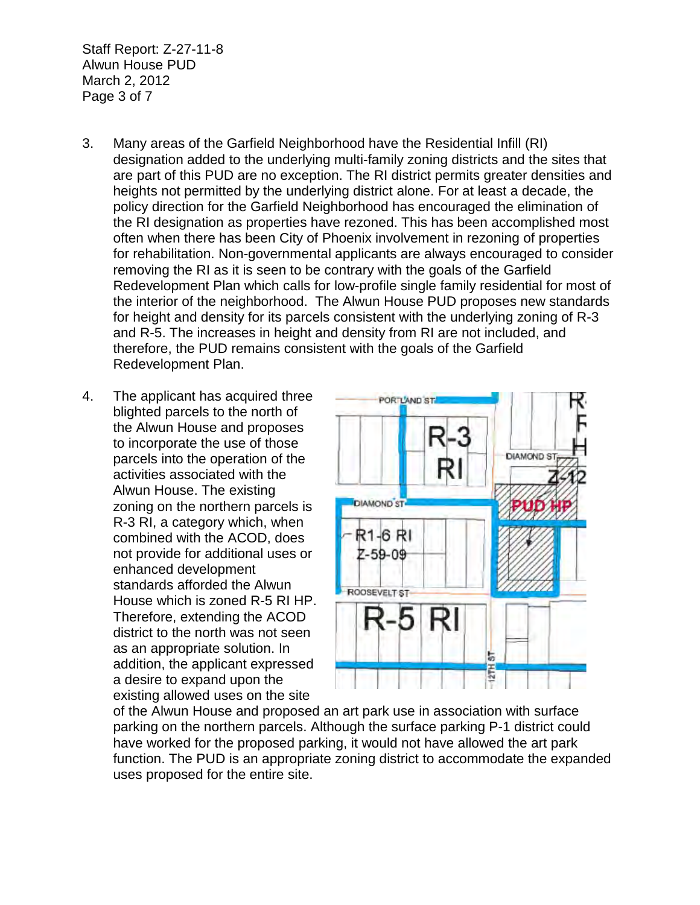Staff Report: Z-27-11-8 Alwun House PUD March 2, 2012 Page 3 of 7

- 3. Many areas of the Garfield Neighborhood have the Residential Infill (RI) designation added to the underlying multi-family zoning districts and the sites that are part of this PUD are no exception. The RI district permits greater densities and heights not permitted by the underlying district alone. For at least a decade, the policy direction for the Garfield Neighborhood has encouraged the elimination of the RI designation as properties have rezoned. This has been accomplished most often when there has been City of Phoenix involvement in rezoning of properties for rehabilitation. Non-governmental applicants are always encouraged to consider removing the RI as it is seen to be contrary with the goals of the Garfield Redevelopment Plan which calls for low-profile single family residential for most of the interior of the neighborhood. The Alwun House PUD proposes new standards for height and density for its parcels consistent with the underlying zoning of R-3 and R-5. The increases in height and density from RI are not included, and therefore, the PUD remains consistent with the goals of the Garfield Redevelopment Plan.
- 4. The applicant has acquired three blighted parcels to the north of the Alwun House and proposes to incorporate the use of those parcels into the operation of the activities associated with the Alwun House. The existing zoning on the northern parcels is R-3 RI, a category which, when combined with the ACOD, does not provide for additional uses or enhanced development standards afforded the Alwun House which is zoned R-5 RI HP. Therefore, extending the ACOD district to the north was not seen as an appropriate solution. In addition, the applicant expressed a desire to expand upon the existing allowed uses on the site



of the Alwun House and proposed an art park use in association with surface parking on the northern parcels. Although the surface parking P-1 district could have worked for the proposed parking, it would not have allowed the art park function. The PUD is an appropriate zoning district to accommodate the expanded uses proposed for the entire site.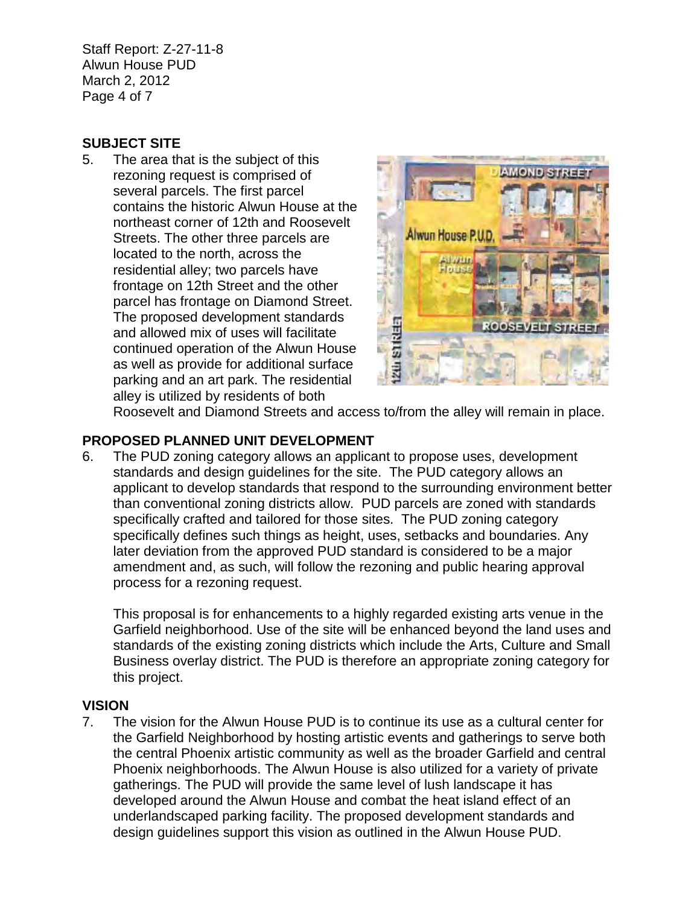Staff Report: Z-27-11-8 Alwun House PUD March 2, 2012 Page 4 of 7

## **SUBJECT SITE**

5. The area that is the subject of this rezoning request is comprised of several parcels. The first parcel contains the historic Alwun House at the northeast corner of 12th and Roosevelt Streets. The other three parcels are located to the north, across the residential alley; two parcels have frontage on 12th Street and the other parcel has frontage on Diamond Street. The proposed development standards and allowed mix of uses will facilitate continued operation of the Alwun House as well as provide for additional surface parking and an art park. The residential alley is utilized by residents of both



Roosevelt and Diamond Streets and access to/from the alley will remain in place.

# **PROPOSED PLANNED UNIT DEVELOPMENT**

6. The PUD zoning category allows an applicant to propose uses, development standards and design guidelines for the site. The PUD category allows an applicant to develop standards that respond to the surrounding environment better than conventional zoning districts allow. PUD parcels are zoned with standards specifically crafted and tailored for those sites. The PUD zoning category specifically defines such things as height, uses, setbacks and boundaries. Any later deviation from the approved PUD standard is considered to be a major amendment and, as such, will follow the rezoning and public hearing approval process for a rezoning request.

This proposal is for enhancements to a highly regarded existing arts venue in the Garfield neighborhood. Use of the site will be enhanced beyond the land uses and standards of the existing zoning districts which include the Arts, Culture and Small Business overlay district. The PUD is therefore an appropriate zoning category for this project.

## **VISION**

7. The vision for the Alwun House PUD is to continue its use as a cultural center for the Garfield Neighborhood by hosting artistic events and gatherings to serve both the central Phoenix artistic community as well as the broader Garfield and central Phoenix neighborhoods. The Alwun House is also utilized for a variety of private gatherings. The PUD will provide the same level of lush landscape it has developed around the Alwun House and combat the heat island effect of an underlandscaped parking facility. The proposed development standards and design guidelines support this vision as outlined in the Alwun House PUD.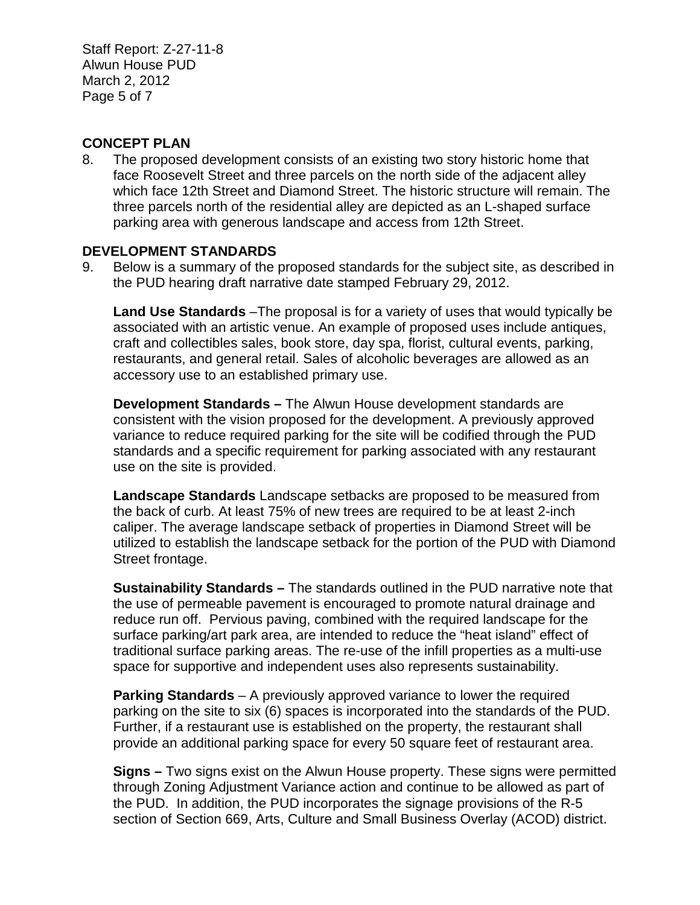Staff Report: Z-27-11-8 Alwun House PUD March 2, 2012 Page 5 of 7

## **CONCEPT PLAN**

8. The proposed development consists of an existing two story historic home that face Roosevelt Street and three parcels on the north side of the adjacent alley which face 12th Street and Diamond Street. The historic structure will remain. The three parcels north of the residential alley are depicted as an L-shaped surface parking area with generous landscape and access from 12th Street.

#### **DEVELOPMENT STANDARDS**

9. Below is a summary of the proposed standards for the subject site, as described in the PUD hearing draft narrative date stamped February 29, 2012.

**Land Use Standards** –The proposal is for a variety of uses that would typically be associated with an artistic venue. An example of proposed uses include antiques, craft and collectibles sales, book store, day spa, florist, cultural events, parking, restaurants, and general retail. Sales of alcoholic beverages are allowed as an accessory use to an established primary use.

**Development Standards –** The Alwun House development standards are consistent with the vision proposed for the development. A previously approved variance to reduce required parking for the site will be codified through the PUD standards and a specific requirement for parking associated with any restaurant use on the site is provided.

**Landscape Standards** Landscape setbacks are proposed to be measured from the back of curb. At least 75% of new trees are required to be at least 2-inch caliper. The average landscape setback of properties in Diamond Street will be utilized to establish the landscape setback for the portion of the PUD with Diamond Street frontage.

**Sustainability Standards –** The standards outlined in the PUD narrative note that the use of permeable pavement is encouraged to promote natural drainage and reduce run off. Pervious paving, combined with the required landscape for the surface parking/art park area, are intended to reduce the "heat island" effect of traditional surface parking areas. The re-use of the infill properties as a multi-use space for supportive and independent uses also represents sustainability.

**Parking Standards** – A previously approved variance to lower the required parking on the site to six (6) spaces is incorporated into the standards of the PUD. Further, if a restaurant use is established on the property, the restaurant shall provide an additional parking space for every 50 square feet of restaurant area.

**Signs –** Two signs exist on the Alwun House property. These signs were permitted through Zoning Adjustment Variance action and continue to be allowed as part of the PUD. In addition, the PUD incorporates the signage provisions of the R-5 section of Section 669, Arts, Culture and Small Business Overlay (ACOD) district.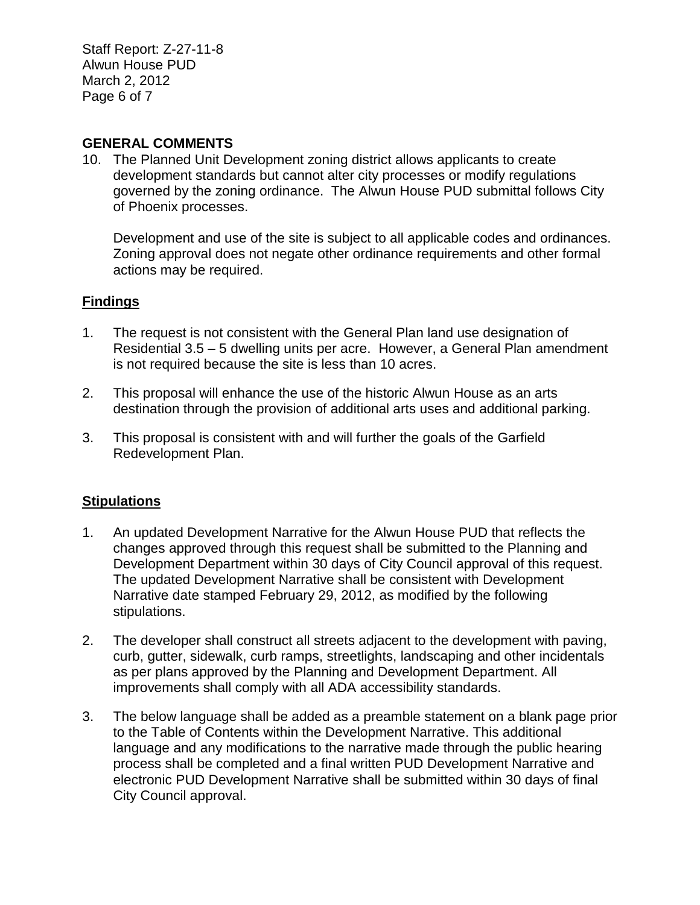Staff Report: Z-27-11-8 Alwun House PUD March 2, 2012 Page 6 of 7

### **GENERAL COMMENTS**

10. The Planned Unit Development zoning district allows applicants to create development standards but cannot alter city processes or modify regulations governed by the zoning ordinance. The Alwun House PUD submittal follows City of Phoenix processes.

Development and use of the site is subject to all applicable codes and ordinances. Zoning approval does not negate other ordinance requirements and other formal actions may be required.

#### **Findings**

- 1. The request is not consistent with the General Plan land use designation of Residential 3.5 – 5 dwelling units per acre. However, a General Plan amendment is not required because the site is less than 10 acres.
- 2. This proposal will enhance the use of the historic Alwun House as an arts destination through the provision of additional arts uses and additional parking.
- 3. This proposal is consistent with and will further the goals of the Garfield Redevelopment Plan.

#### **Stipulations**

- 1. An updated Development Narrative for the Alwun House PUD that reflects the changes approved through this request shall be submitted to the Planning and Development Department within 30 days of City Council approval of this request. The updated Development Narrative shall be consistent with Development Narrative date stamped February 29, 2012, as modified by the following stipulations.
- 2. The developer shall construct all streets adjacent to the development with paving, curb, gutter, sidewalk, curb ramps, streetlights, landscaping and other incidentals as per plans approved by the Planning and Development Department. All improvements shall comply with all ADA accessibility standards.
- 3. The below language shall be added as a preamble statement on a blank page prior to the Table of Contents within the Development Narrative. This additional language and any modifications to the narrative made through the public hearing process shall be completed and a final written PUD Development Narrative and electronic PUD Development Narrative shall be submitted within 30 days of final City Council approval.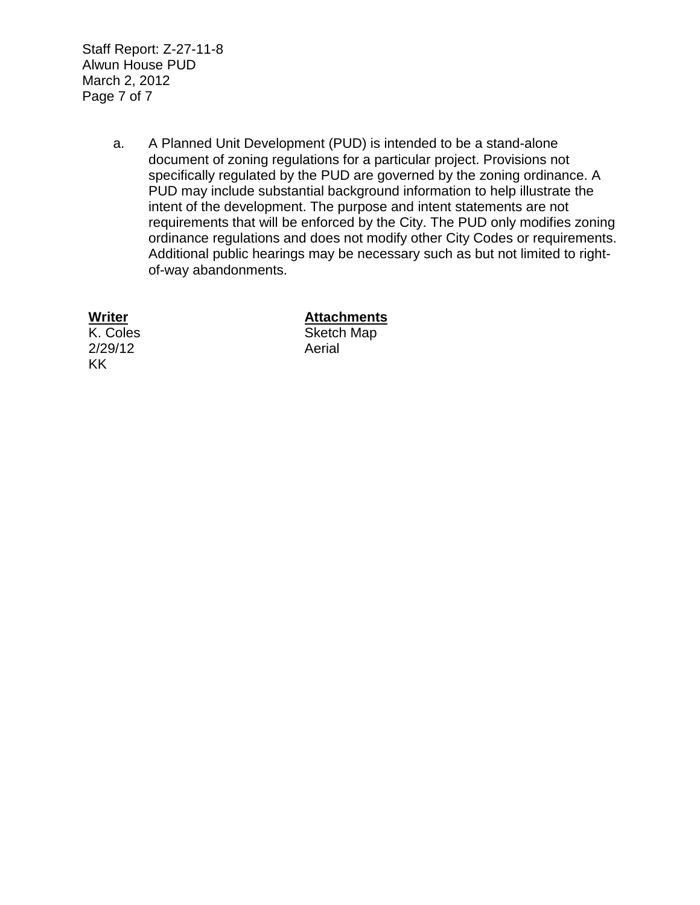Staff Report: Z-27-11-8 Alwun House PUD March 2, 2012 Page 7 of 7

> a. A Planned Unit Development (PUD) is intended to be a stand-alone document of zoning regulations for a particular project. Provisions not specifically regulated by the PUD are governed by the zoning ordinance. A PUD may include substantial background information to help illustrate the intent of the development. The purpose and intent statements are not requirements that will be enforced by the City. The PUD only modifies zoning ordinance regulations and does not modify other City Codes or requirements. Additional public hearings may be necessary such as but not limited to rightof-way abandonments.

2/29/12 Aerial KK

## **Writer Attachments**

K. Coles Sketch Map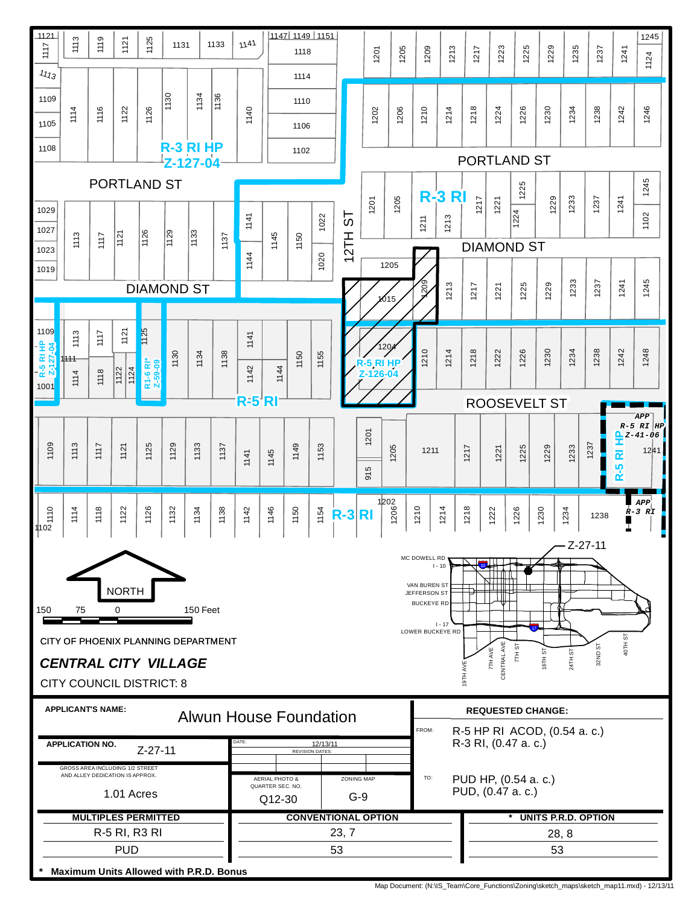

Map Document: (N:\IS\_Team\Core\_Functions\Zoning\sketch\_maps\sketch\_map11.mxd) - 12/13/11